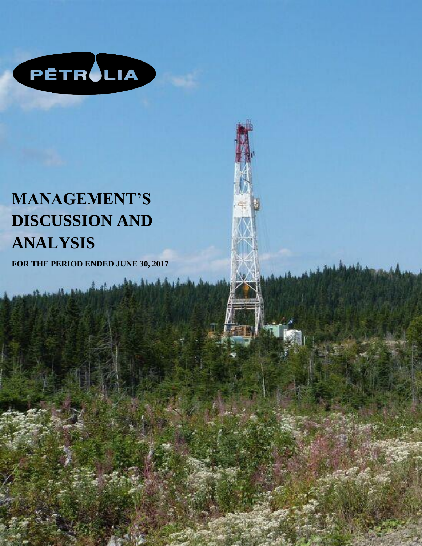

# **MANAGEMENT'S DISCUSSION AND ANALYSIS**

**FOR THE PERIOD ENDED JUNE 30, 2017**

**2017**

**POUR LA PÉRIODE TERMINÉE LE 30 JUIN**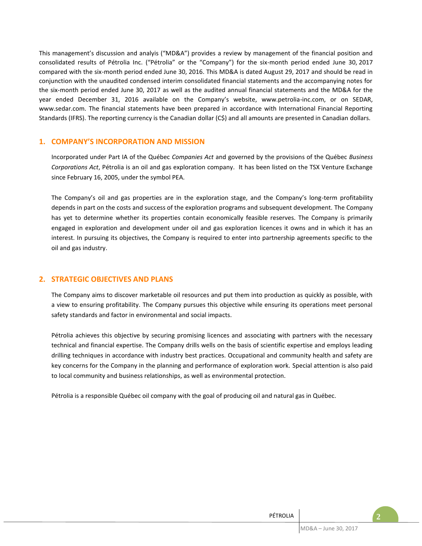This management's discussion and analyis ("MD&A") provides a review by management of the financial position and consolidated results of Pétrolia Inc. ("Pétrolia" or the "Company") for the six-month period ended June 30, 2017 compared with the six-month period ended June 30, 2016. This MD&A is dated August 29, 2017 and should be read in conjunction with the unaudited condensed interim consolidated financial statements and the accompanying notes for the six-month period ended June 30, 2017 as well as the audited annual financial statements and the MD&A for the year ended December 31, 2016 available on the Company's website, www.petrolia-inc.com, or on SEDAR, www.sedar.com. The financial statements have been prepared in accordance with International Financial Reporting Standards (IFRS). The reporting currency is the Canadian dollar (C\$) and all amounts are presented in Canadian dollars.

## **1. COMPANY'S INCORPORATION AND MISSION**

Incorporated under Part IA of the Québec *Companies Act* and governed by the provisions of the Québec *Business Corporations Act*, Pétrolia is an oil and gas exploration company. It has been listed on the TSX Venture Exchange since February 16, 2005, under the symbol PEA.

The Company's oil and gas properties are in the exploration stage, and the Company's long-term profitability depends in part on the costs and success of the exploration programs and subsequent development. The Company has yet to determine whether its properties contain economically feasible reserves. The Company is primarily engaged in exploration and development under oil and gas exploration licences it owns and in which it has an interest. In pursuing its objectives, the Company is required to enter into partnership agreements specific to the oil and gas industry.

## **2. STRATEGIC OBJECTIVES AND PLANS**

The Company aims to discover marketable oil resources and put them into production as quickly as possible, with a view to ensuring profitability. The Company pursues this objective while ensuring its operations meet personal safety standards and factor in environmental and social impacts.

Pétrolia achieves this objective by securing promising licences and associating with partners with the necessary technical and financial expertise. The Company drills wells on the basis of scientific expertise and employs leading drilling techniques in accordance with industry best practices. Occupational and community health and safety are key concerns for the Company in the planning and performance of exploration work. Special attention is also paid to local community and business relationships, as well as environmental protection.

Pétrolia is a responsible Québec oil company with the goal of producing oil and natural gas in Québec.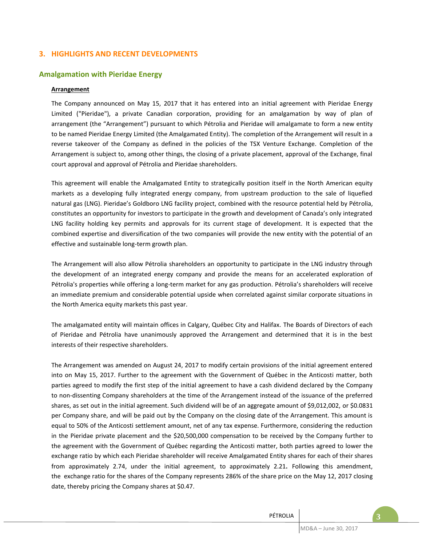## **3. HIGHLIGHTS AND RECENT DEVELOPMENTS**

## **Amalgamation with Pieridae Energy**

#### **Arrangement**

The Company announced on May 15, 2017 that it has entered into an initial agreement with Pieridae Energy Limited ("Pieridae"), a private Canadian corporation, providing for an amalgamation by way of plan of arrangement (the "Arrangement") pursuant to which Pétrolia and Pieridae will amalgamate to form a new entity to be named Pieridae Energy Limited (the Amalgamated Entity). The completion of the Arrangement will result in a reverse takeover of the Company as defined in the policies of the TSX Venture Exchange. Completion of the Arrangement is subject to, among other things, the closing of a private placement, approval of the Exchange, final court approval and approval of Pétrolia and Pieridae shareholders.

This agreement will enable the Amalgamated Entity to strategically position itself in the North American equity markets as a developing fully integrated energy company, from upstream production to the sale of liquefied natural gas (LNG). Pieridae's Goldboro LNG facility project, combined with the resource potential held by Pétrolia, constitutes an opportunity for investors to participate in the growth and development of Canada's only integrated LNG facility holding key permits and approvals for its current stage of development. It is expected that the combined expertise and diversification of the two companies will provide the new entity with the potential of an effective and sustainable long-term growth plan.

The Arrangement will also allow Pétrolia shareholders an opportunity to participate in the LNG industry through the development of an integrated energy company and provide the means for an accelerated exploration of Pétrolia's properties while offering a long-term market for any gas production. Pétrolia's shareholders will receive an immediate premium and considerable potential upside when correlated against similar corporate situations in the North America equity markets this past year.

The amalgamated entity will maintain offices in Calgary, Québec City and Halifax. The Boards of Directors of each of Pieridae and Pétrolia have unanimously approved the Arrangement and determined that it is in the best interests of their respective shareholders.

The Arrangement was amended on August 24, 2017 to modify certain provisions of the initial agreement entered into on May 15, 2017. Further to the agreement with the Government of Québec in the Anticosti matter, both parties agreed to modify the first step of the initial agreement to have a cash dividend declared by the Company to non-dissenting Company shareholders at the time of the Arrangement instead of the issuance of the preferred shares, as set out in the initial agreement. Such dividend will be of an aggregate amount of \$9,012,002, or \$0.0831 per Company share, and will be paid out by the Company on the closing date of the Arrangement. This amount is equal to 50% of the Anticosti settlement amount, net of any tax expense. Furthermore, considering the reduction in the Pieridae private placement and the \$20,500,000 compensation to be received by the Company further to the agreement with the Government of Québec regarding the Anticosti matter, both parties agreed to lower the exchange ratio by which each Pieridae shareholder will receive Amalgamated Entity shares for each of their shares from approximately 2.74, under the initial agreement, to approximately 2.21. Following this amendment, the exchange ratio for the shares of the Company represents 286% of the share price on the May 12, 2017 closing date, thereby pricing the Company shares at \$0.47.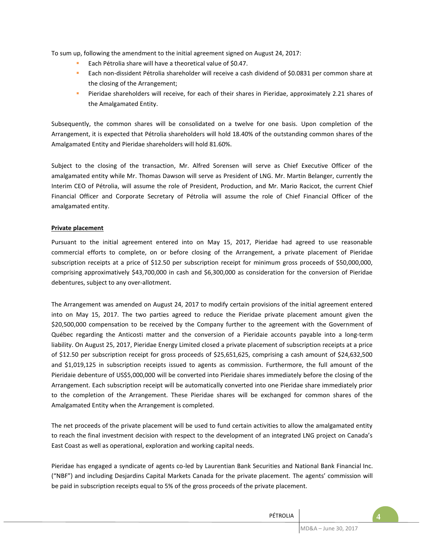To sum up, following the amendment to the initial agreement signed on August 24, 2017:

- **Each Pétrolia share will have a theoretical value of \$0.47.**
- **Each non-dissident Pétrolia shareholder will receive a cash dividend of \$0.0831 per common share at** the closing of the Arrangement;
- **Pieridae shareholders will receive, for each of their shares in Pieridae, approximately 2.21 shares of** the Amalgamated Entity.

Subsequently, the common shares will be consolidated on a twelve for one basis. Upon completion of the Arrangement, it is expected that Pétrolia shareholders will hold 18.40% of the outstanding common shares of the Amalgamated Entity and Pieridae shareholders will hold 81.60%.

Subject to the closing of the transaction, Mr. Alfred Sorensen will serve as Chief Executive Officer of the amalgamated entity while Mr. Thomas Dawson will serve as President of LNG. Mr. Martin Belanger, currently the Interim CEO of Pétrolia, will assume the role of President, Production, and Mr. Mario Racicot, the current Chief Financial Officer and Corporate Secretary of Pétrolia will assume the role of Chief Financial Officer of the amalgamated entity.

## **Private placement**

Pursuant to the initial agreement entered into on May 15, 2017, Pieridae had agreed to use reasonable commercial efforts to complete, on or before closing of the Arrangement, a private placement of Pieridae subscription receipts at a price of \$12.50 per subscription receipt for minimum gross proceeds of \$50,000,000, comprising approximatively \$43,700,000 in cash and \$6,300,000 as consideration for the conversion of Pieridae debentures, subject to any over-allotment.

The Arrangement was amended on August 24, 2017 to modify certain provisions of the initial agreement entered into on May 15, 2017. The two parties agreed to reduce the Pieridae private placement amount given the \$20,500,000 compensation to be received by the Company further to the agreement with the Government of Québec regarding the Anticosti matter and the conversion of a Pieridaie accounts payable into a long-term liability. On August 25, 2017, Pieridae Energy Limited closed a private placement of subscription receipts at a price of \$12.50 per subscription receipt for gross proceeds of \$25,651,625, comprising a cash amount of \$24,632,500 and \$1,019,125 in subscription receipts issued to agents as commission. Furthermore, the full amount of the Pieridaie debenture of US\$5,000,000 will be converted into Pieridaie shares immediately before the closing of the Arrangement. Each subscription receipt will be automatically converted into one Pieridae share immediately prior to the completion of the Arrangement. These Pieridae shares will be exchanged for common shares of the Amalgamated Entity when the Arrangement is completed.

The net proceeds of the private placement will be used to fund certain activities to allow the amalgamated entity to reach the final investment decision with respect to the development of an integrated LNG project on Canada's East Coast as well as operational, exploration and working capital needs.

Pieridae has engaged a syndicate of agents co-led by Laurentian Bank Securities and National Bank Financial Inc. ("NBF") and including Desjardins Capital Markets Canada for the private placement. The agents' commission will be paid in subscription receipts equal to 5% of the gross proceeds of the private placement.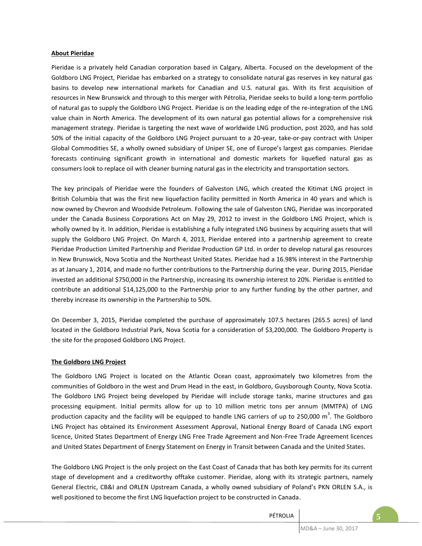#### **About Pieridae**

Pieridae is a privately held Canadian corporation based in Calgary, Alberta. Focused on the development of the Goldboro LNG Project, Pieridae has embarked on a strategy to consolidate natural gas reserves in key natural gas basins to develop new international markets for Canadian and U.S. natural gas. With its first acquisition of resources in New Brunswick and through to this merger with Pétrolia, Pieridae seeks to build a long-term portfolio of natural gas to supply the Goldboro LNG Project. Pieridae is on the leading edge of the re-integration of the LNG value chain in North America. The development of its own natural gas potential allows for a comprehensive risk management strategy. Pieridae is targeting the next wave of worldwide LNG production, post 2020, and has sold 50% of the initial capacity of the Goldboro LNG Project pursuant to a 20-year, take-or-pay contract with Uniper Global Commodities SE, a wholly owned subsidiary of Uniper SE, one of Europe's largest gas companies. Pieridae forecasts continuing significant growth in international and domestic markets for liquefied natural gas as consumers look to replace oil with cleaner burning natural gas in the electricity and transportation sectors.

The key principals of Pieridae were the founders of Galveston LNG, which created the Kitimat LNG project in British Columbia that was the first new liquefaction facility permitted in North America in 40 years and which is now owned by Chevron and Woodside Petroleum. Following the sale of Galveston LNG, Pieridae was incorporated under the Canada Business Corporations Act on May 29, 2012 to invest in the Goldboro LNG Project, which is wholly owned by it. In addition, Pieridae is establishing a fully integrated LNG business by acquiring assets that will supply the Goldboro LNG Project. On March 4, 2013, Pieridae entered into a partnership agreement to create Pieridae Production Limited Partnership and Pieridae Production GP Ltd. in order to develop natural gas resources in New Brunswick, Nova Scotia and the Northeast United States. Pieridae had a 16.98% interest in the Partnership as at January 1, 2014, and made no further contributions to the Partnership during the year. During 2015, Pieridae invested an additional \$750,000 in the Partnership, increasing its ownership interest to 20%. Pieridae is entitled to contribute an additional \$14,125,000 to the Partnership prior to any further funding by the other partner, and thereby increase its ownership in the Partnership to 50%.

On December 3, 2015, Pieridae completed the purchase of approximately 107.5 hectares (265.5 acres) of land located in the Goldboro Industrial Park, Nova Scotia for a consideration of \$3,200,000. The Goldboro Property is the site for the proposed Goldboro LNG Project.

## **The Goldboro LNG Project**

The Goldboro LNG Project is located on the Atlantic Ocean coast, approximately two kilometres from the communities of Goldboro in the west and Drum Head in the east, in Goldboro, Guysborough County, Nova Scotia. The Goldboro LNG Project being developed by Pieridae will include storage tanks, marine structures and gas processing equipment. Initial permits allow for up to 10 million metric tons per annum (MMTPA) of LNG production capacity and the facility will be equipped to handle LNG carriers of up to 250,000  $m^3$ . The Goldboro LNG Project has obtained its Environment Assessment Approval, National Energy Board of Canada LNG export licence, United States Department of Energy LNG Free Trade Agreement and Non-Free Trade Agreement licences and United States Department of Energy Statement on Energy in Transit between Canada and the United States.

The Goldboro LNG Project is the only project on the East Coast of Canada that has both key permits for its current stage of development and a creditworthy offtake customer. Pieridae, along with its strategic partners, namely General Electric, CB&I and ORLEN Upstream Canada, a wholly owned subsidiary of Poland's PKN ORLEN S.A., is well positioned to become the first LNG liquefaction project to be constructed in Canada.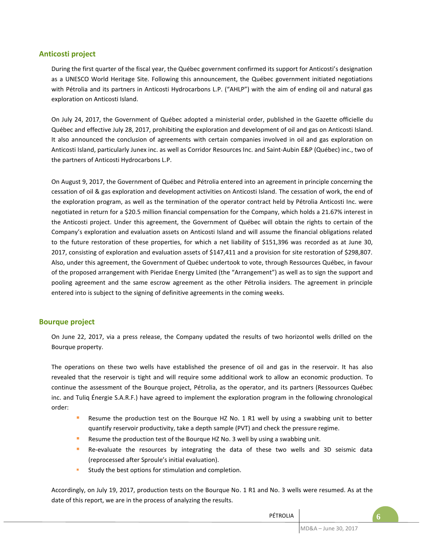## **Anticosti project**

During the first quarter of the fiscal year, the Québec government confirmed its support for Anticosti's designation as a UNESCO World Heritage Site. Following this announcement, the Québec government initiated negotiations with Pétrolia and its partners in Anticosti Hydrocarbons L.P. ("AHLP") with the aim of ending oil and natural gas exploration on Anticosti Island.

On July 24, 2017, the Government of Québec adopted a ministerial order, published in the Gazette officielle du Québec and effective July 28, 2017, prohibiting the exploration and development of oil and gas on Anticosti Island. It also announced the conclusion of agreements with certain companies involved in oil and gas exploration on Anticosti Island, particularly Junex inc. as well as Corridor Resources Inc. and Saint-Aubin E&P (Québec) inc., two of the partners of Anticosti Hydrocarbons L.P.

On August 9, 2017, the Government of Québec and Pétrolia entered into an agreement in principle concerning the cessation of oil & gas exploration and development activities on Anticosti Island. The cessation of work, the end of the exploration program, as well as the termination of the operator contract held by Pétrolia Anticosti Inc. were negotiated in return for a \$20.5 million financial compensation for the Company, which holds a 21.67% interest in the Anticosti project. Under this agreement, the Government of Québec will obtain the rights to certain of the Company's exploration and evaluation assets on Anticosti Island and will assume the financial obligations related to the future restoration of these properties, for which a net liability of \$151,396 was recorded as at June 30, 2017, consisting of exploration and evaluation assets of \$147,411 and a provision for site restoration of \$298,807. Also, under this agreement, the Government of Québec undertook to vote, through Ressources Québec, in favour of the proposed arrangement with Pieridae Energy Limited (the "Arrangement") as well as to sign the support and pooling agreement and the same escrow agreement as the other Pétrolia insiders. The agreement in principle entered into is subject to the signing of definitive agreements in the coming weeks.

## **Bourque project**

On June 22, 2017, via a press release, the Company updated the results of two horizontol wells drilled on the Bourque property.

The operations on these two wells have established the presence of oil and gas in the reservoir. It has also revealed that the reservoir is tight and will require some additional work to allow an economic production. To continue the assessment of the Bourque project, Pétrolia, as the operator, and its partners (Ressources Québec inc. and Tuliq Énergie S.A.R.F.) have agreed to implement the exploration program in the following chronological order:

- **Resume the production test on the Bourque HZ No. 1 R1 well by using a swabbing unit to better** quantify reservoir productivity, take a depth sample (PVT) and check the pressure regime.
- Resume the production test of the Bourque HZ No. 3 well by using a swabbing unit.
- **Re-evaluate the resources by integrating the data of these two wells and 3D seismic data** (reprocessed after Sproule's initial evaluation).
- **Study the best options for stimulation and completion.**

Accordingly, on July 19, 2017, production tests on the Bourque No. 1 R1 and No. 3 wells were resumed. As at the date of this report, we are in the process of analyzing the results.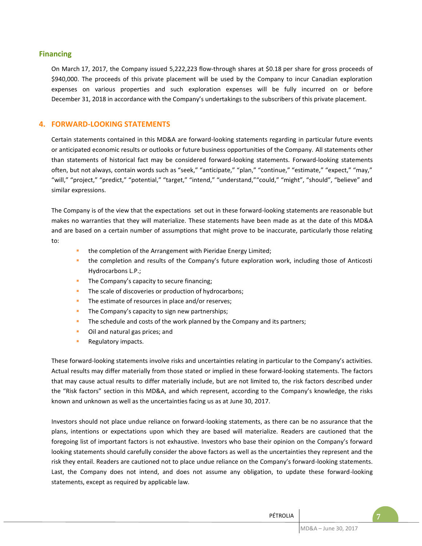## **Financing**

On March 17, 2017, the Company issued 5,222,223 flow-through shares at \$0.18 per share for gross proceeds of \$940,000. The proceeds of this private placement will be used by the Company to incur Canadian exploration expenses on various properties and such exploration expenses will be fully incurred on or before December 31, 2018 in accordance with the Company's undertakings to the subscribers of this private placement.

## **4. FORWARD-LOOKING STATEMENTS**

Certain statements contained in this MD&A are forward-looking statements regarding in particular future events or anticipated economic results or outlooks or future business opportunities of the Company. All statements other than statements of historical fact may be considered forward-looking statements. Forward-looking statements often, but not always, contain words such as "seek," "anticipate," "plan," "continue," "estimate," "expect," "may," "will," "project," "predict," "potential," "target," "intend," "understand,""could," "might", "should", "believe" and similar expressions.

The Company is of the view that the expectations set out in these forward-looking statements are reasonable but makes no warranties that they will materialize. These statements have been made as at the date of this MD&A and are based on a certain number of assumptions that might prove to be inaccurate, particularly those relating to:

- the completion of the Arrangement with Pieridae Energy Limited;
- the completion and results of the Company's future exploration work, including those of Anticosti Hydrocarbons L.P.;
- **The Company's capacity to secure financing;**
- The scale of discoveries or production of hydrocarbons;
- The estimate of resources in place and/or reserves;
- **The Company's capacity to sign new partnerships;**
- The schedule and costs of the work planned by the Company and its partners;
- **•** Oil and natural gas prices; and
- **Regulatory impacts.**

These forward-looking statements involve risks and uncertainties relating in particular to the Company's activities. Actual results may differ materially from those stated or implied in these forward-looking statements. The factors that may cause actual results to differ materially include, but are not limited to, the risk factors described under the "Risk factors" section in this MD&A, and which represent, according to the Company's knowledge, the risks known and unknown as well as the uncertainties facing us as at June 30, 2017.

Investors should not place undue reliance on forward-looking statements, as there can be no assurance that the plans, intentions or expectations upon which they are based will materialize. Readers are cautioned that the foregoing list of important factors is not exhaustive. Investors who base their opinion on the Company's forward looking statements should carefully consider the above factors as well as the uncertainties they represent and the risk they entail. Readers are cautioned not to place undue reliance on the Company's forward-looking statements. Last, the Company does not intend, and does not assume any obligation, to update these forward-looking statements, except as required by applicable law.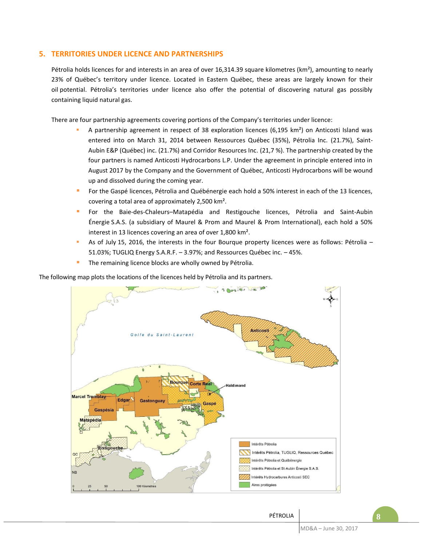## **5. TERRITORIES UNDER LICENCE AND PARTNERSHIPS**

Pétrolia holds licences for and interests in an area of over 16,314.39 square kilometres (km<sup>2</sup>), amounting to nearly 23% of Québec's territory under licence. Located in Eastern Québec, these areas are largely known for their oil potential. Pétrolia's territories under licence also offer the potential of discovering natural gas possibly containing liquid natural gas.

There are four partnership agreements covering portions of the Company's territories under licence:

- A partnership agreement in respect of 38 exploration licences (6,195 km²) on Anticosti Island was entered into on March 31, 2014 between Ressources Québec (35%), Pétrolia Inc. (21.7%), Saint-Aubin E&P (Québec) inc. (21.7%) and Corridor Resources Inc. (21,7 %). The partnership created by the four partners is named Anticosti Hydrocarbons L.P. Under the agreement in principle entered into in August 2017 by the Company and the Government of Québec, Anticosti Hydrocarbons will be wound up and dissolved during the coming year.
- For the Gaspé licences, Pétrolia and Québénergie each hold a 50% interest in each of the 13 licences, covering a total area of approximately 2,500 km².
- For the Baie-des-Chaleurs–Matapédia and Restigouche licences, Pétrolia and Saint-Aubin Énergie S.A.S. (a subsidiary of Maurel & Prom and Maurel & Prom International), each hold a 50% interest in 13 licences covering an area of over 1,800 km².
- As of July 15, 2016, the interests in the four Bourque property licences were as follows: Pétrolia 51.03%; TUGLIQ Energy S.A.R.F. – 3.97%; and Ressources Québec inc. – 45%.
- The remaining licence blocks are wholly owned by Pétrolia.

The following map plots the locations of the licences held by Pétrolia and its partners.

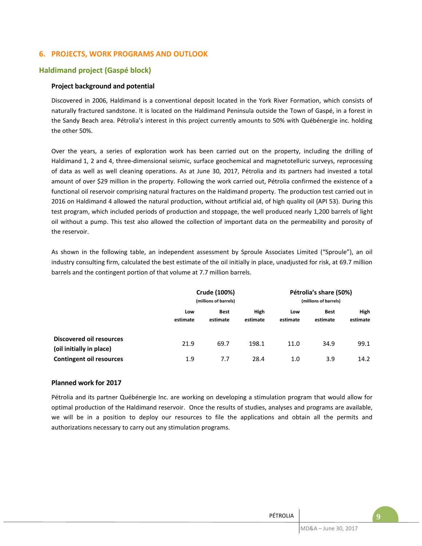## **6. PROJECTS, WORK PROGRAMS AND OUTLOOK**

## **Haldimand project (Gaspé block)**

## **Project background and potential**

Discovered in 2006, Haldimand is a conventional deposit located in the York River Formation, which consists of naturally fractured sandstone. It is located on the Haldimand Peninsula outside the Town of Gaspé, in a forest in the Sandy Beach area. Pétrolia's interest in this project currently amounts to 50% with Québénergie inc. holding the other 50%.

Over the years, a series of exploration work has been carried out on the property, including the drilling of Haldimand 1, 2 and 4, three-dimensional seismic, surface geochemical and magnetotelluric surveys, reprocessing of data as well as well cleaning operations. As at June 30, 2017, Pétrolia and its partners had invested a total amount of over \$29 million in the property. Following the work carried out, Pétrolia confirmed the existence of a functional oil reservoir comprising natural fractures on the Haldimand property. The production test carried out in 2016 on Haldimand 4 allowed the natural production, without artificial aid, of high quality oil (API 53). During this test program, which included periods of production and stoppage, the well produced nearly 1,200 barrels of light oil without a pump. This test also allowed the collection of important data on the permeability and porosity of the reservoir.

As shown in the following table, an independent assessment by Sproule Associates Limited ("Sproule"), an oil industry consulting firm, calculated the best estimate of the oil initially in place, unadjusted for risk, at 69.7 million barrels and the contingent portion of that volume at 7.7 million barrels.

|                                                             | Crude (100%)<br>(millions of barrels) |                         |                  | Pétrolia's share (50%)<br>(millions of barrels) |                         |                  |
|-------------------------------------------------------------|---------------------------------------|-------------------------|------------------|-------------------------------------------------|-------------------------|------------------|
|                                                             | Low<br>estimate                       | <b>Best</b><br>estimate | High<br>estimate | Low<br>estimate                                 | <b>Best</b><br>estimate | High<br>estimate |
| <b>Discovered oil resources</b><br>(oil initially in place) | 21.9                                  | 69.7                    | 198.1            | 11.0                                            | 34.9                    | 99.1             |
| <b>Contingent oil resources</b>                             | 1.9                                   | 7.7                     | 28.4             | 1.0                                             | 3.9                     | 14.2             |

## **Planned work for 2017**

Pétrolia and its partner Québénergie Inc. are working on developing a stimulation program that would allow for optimal production of the Haldimand reservoir. Once the results of studies, analyses and programs are available, we will be in a position to deploy our resources to file the applications and obtain all the permits and authorizations necessary to carry out any stimulation programs.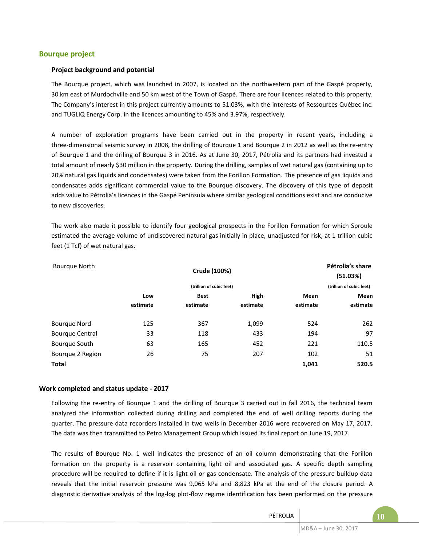## **Bourque project**

#### **Project background and potential**

The Bourque project, which was launched in 2007, is located on the northwestern part of the Gaspé property, 30 km east of Murdochville and 50 km west of the Town of Gaspé. There are four licences related to this property. The Company's interest in this project currently amounts to 51.03%, with the interests of Ressources Québec inc. and TUGLIQ Energy Corp. in the licences amounting to 45% and 3.97%, respectively.

A number of exploration programs have been carried out in the property in recent years, including a three-dimensional seismic survey in 2008, the drilling of Bourque 1 and Bourque 2 in 2012 as well as the re-entry of Bourque 1 and the driling of Bourque 3 in 2016. As at June 30, 2017, Pétrolia and its partners had invested a total amount of nearly \$30 million in the property. During the drilling, samples of wet natural gas (containing up to 20% natural gas liquids and condensates) were taken from the Forillon Formation. The presence of gas liquids and condensates adds significant commercial value to the Bourque discovery. The discovery of this type of deposit adds value to Pétrolia's licences in the Gaspé Peninsula where similar geological conditions exist and are conducive to new discoveries.

The work also made it possible to identify four geological prospects in the Forillon Formation for which Sproule estimated the average volume of undiscovered natural gas initially in place, unadjusted for risk, at 1 trillion cubic feet (1 Tcf) of wet natural gas.

| Bourgue North          |          | Crude (100%)             |          |          | Pétrolia's share<br>(51.03%) |  |  |
|------------------------|----------|--------------------------|----------|----------|------------------------------|--|--|
|                        |          | (trillion of cubic feet) |          |          |                              |  |  |
|                        | Low      | <b>Best</b>              | High     | Mean     | Mean                         |  |  |
|                        | estimate | estimate                 | estimate | estimate | estimate                     |  |  |
| <b>Bourque Nord</b>    | 125      | 367                      | 1,099    | 524      | 262                          |  |  |
| <b>Bourque Central</b> | 33       | 118                      | 433      | 194      | 97                           |  |  |
| Bourque South          | 63       | 165                      | 452      | 221      | 110.5                        |  |  |
| Bourque 2 Region       | 26       | 75                       | 207      | 102      | 51                           |  |  |
| <b>Total</b>           |          |                          |          | 1,041    | 520.5                        |  |  |

#### **Work completed and status update - 2017**

Following the re-entry of Bourque 1 and the drilling of Bourque 3 carried out in fall 2016, the technical team analyzed the information collected during drilling and completed the end of well drilling reports during the quarter. The pressure data recorders installed in two wells in December 2016 were recovered on May 17, 2017. The data was then transmitted to Petro Management Group which issued its final report on June 19, 2017.

The results of Bourque No. 1 well indicates the presence of an oil column demonstrating that the Forillon formation on the property is a reservoir containing light oil and associated gas. A specific depth sampling procedure will be required to define if it is light oil or gas condensate. The analysis of the pressure buildup data reveals that the initial reservoir pressure was 9,065 kPa and 8,823 kPa at the end of the closure period. A diagnostic derivative analysis of the log-log plot-flow regime identification has been performed on the pressure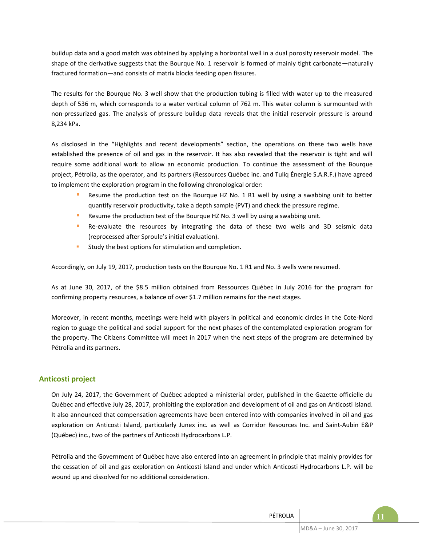buildup data and a good match was obtained by applying a horizontal well in a dual porosity reservoir model. The shape of the derivative suggests that the Bourque No. 1 reservoir is formed of mainly tight carbonate—naturally fractured formation—and consists of matrix blocks feeding open fissures.

The results for the Bourque No. 3 well show that the production tubing is filled with water up to the measured depth of 536 m, which corresponds to a water vertical column of 762 m. This water column is surmounted with non-pressurized gas. The analysis of pressure buildup data reveals that the initial reservoir pressure is around 8,234 kPa.

As disclosed in the "Highlights and recent developments" section, the operations on these two wells have established the presence of oil and gas in the reservoir. It has also revealed that the reservoir is tight and will require some additional work to allow an economic production. To continue the assessment of the Bourque project, Pétrolia, as the operator, and its partners (Ressources Québec inc. and Tuliq Énergie S.A.R.F.) have agreed to implement the exploration program in the following chronological order:

- Resume the production test on the Bourque HZ No. 1 R1 well by using a swabbing unit to better quantify reservoir productivity, take a depth sample (PVT) and check the pressure regime.
- Resume the production test of the Bourque HZ No. 3 well by using a swabbing unit.
- Re-evaluate the resources by integrating the data of these two wells and 3D seismic data (reprocessed after Sproule's initial evaluation).
- **Study the best options for stimulation and completion.**

Accordingly, on July 19, 2017, production tests on the Bourque No. 1 R1 and No. 3 wells were resumed.

As at June 30, 2017, of the \$8.5 million obtained from Ressources Québec in July 2016 for the program for confirming property resources, a balance of over \$1.7 million remains for the next stages.

Moreover, in recent months, meetings were held with players in political and economic circles in the Cote-Nord region to guage the political and social support for the next phases of the contemplated exploration program for the property. The Citizens Committee will meet in 2017 when the next steps of the program are determined by Pétrolia and its partners.

## **Anticosti project**

On July 24, 2017, the Government of Québec adopted a ministerial order, published in the Gazette officielle du Québec and effective July 28, 2017, prohibiting the exploration and development of oil and gas on Anticosti Island. It also announced that compensation agreements have been entered into with companies involved in oil and gas exploration on Anticosti Island, particularly Junex inc. as well as Corridor Resources Inc. and Saint-Aubin E&P (Québec) inc., two of the partners of Anticosti Hydrocarbons L.P.

Pétrolia and the Government of Québec have also entered into an agreement in principle that mainly provides for the cessation of oil and gas exploration on Anticosti Island and under which Anticosti Hydrocarbons L.P. will be wound up and dissolved for no additional consideration.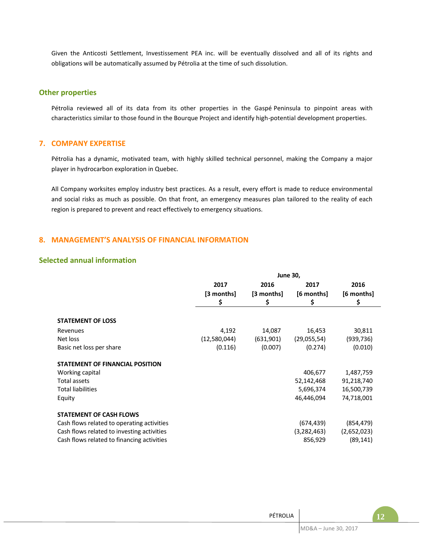Given the Anticosti Settlement, Investissement PEA inc. will be eventually dissolved and all of its rights and obligations will be automatically assumed by Pétrolia at the time of such dissolution.

## **Other properties**

Pétrolia reviewed all of its data from its other properties in the Gaspé Peninsula to pinpoint areas with characteristics similar to those found in the Bourque Project and identify high-potential development properties.

## **7. COMPANY EXPERTISE**

Pétrolia has a dynamic, motivated team, with highly skilled technical personnel, making the Company a major player in hydrocarbon exploration in Quebec.

All Company worksites employ industry best practices. As a result, every effort is made to reduce environmental and social risks as much as possible. On that front, an emergency measures plan tailored to the reality of each region is prepared to prevent and react effectively to emergency situations.

## **8. MANAGEMENT'S ANALYSIS OF FINANCIAL INFORMATION**

## **Selected annual information**

|                                            | <b>June 30,</b> |            |               |             |  |  |  |
|--------------------------------------------|-----------------|------------|---------------|-------------|--|--|--|
|                                            | 2017            | 2016       | 2017          | 2016        |  |  |  |
|                                            | [3 months]      | [3 months] | [6 months]    | [6 months]  |  |  |  |
|                                            | \$              | \$         | \$            | \$          |  |  |  |
|                                            |                 |            |               |             |  |  |  |
| <b>STATEMENT OF LOSS</b>                   |                 |            |               |             |  |  |  |
| Revenues                                   | 4,192           | 14,087     | 16,453        | 30,811      |  |  |  |
| Net loss                                   | (12,580,044)    | (631,901)  | (29,055,54)   | (939, 736)  |  |  |  |
| Basic net loss per share                   | (0.116)         | (0.007)    | (0.274)       | (0.010)     |  |  |  |
| <b>STATEMENT OF FINANCIAL POSITION</b>     |                 |            |               |             |  |  |  |
| Working capital                            |                 |            | 406,677       | 1,487,759   |  |  |  |
| Total assets                               |                 |            | 52,142,468    | 91,218,740  |  |  |  |
| <b>Total liabilities</b>                   |                 |            | 5,696,374     | 16,500,739  |  |  |  |
| Equity                                     |                 |            | 46,446,094    | 74,718,001  |  |  |  |
| <b>STATEMENT OF CASH FLOWS</b>             |                 |            |               |             |  |  |  |
| Cash flows related to operating activities |                 |            | (674,439)     | (854, 479)  |  |  |  |
| Cash flows related to investing activities |                 |            | (3, 282, 463) | (2,652,023) |  |  |  |
| Cash flows related to financing activities |                 |            | 856,929       | (89, 141)   |  |  |  |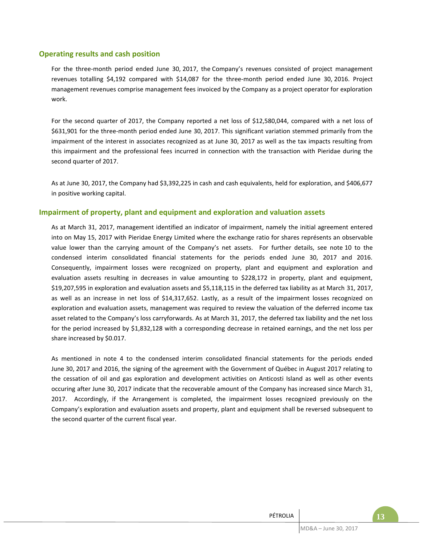## **Operating results and cash position**

For the three-month period ended June 30, 2017, the Company's revenues consisted of project management revenues totalling \$4,192 compared with \$14,087 for the three-month period ended June 30, 2016. Project management revenues comprise management fees invoiced by the Company as a project operator for exploration work.

For the second quarter of 2017, the Company reported a net loss of \$12,580,044, compared with a net loss of \$631,901 for the three-month period ended June 30, 2017. This significant variation stemmed primarily from the impairment of the interest in associates recognized as at June 30, 2017 as well as the tax impacts resulting from this impairment and the professional fees incurred in connection with the transaction with Pieridae during the second quarter of 2017.

As at June 30, 2017, the Company had \$3,392,225 in cash and cash equivalents, held for exploration, and \$406,677 in positive working capital.

## **Impairment of property, plant and equipment and exploration and valuation assets**

As at March 31, 2017, management identified an indicator of impairment, namely the initial agreement entered into on May 15, 2017 with Pieridae Energy Limited where the exchange ratio for shares représents an observable value lower than the carrying amount of the Company's net assets. For further details, see note 10 to the condensed interim consolidated financial statements for the periods ended June 30, 2017 and 2016. Consequently, impairment losses were recognized on property, plant and equipment and exploration and evaluation assets resulting in decreases in value amounting to \$228,172 in property, plant and equipment, \$19,207,595 in exploration and evaluation assets and \$5,118,115 in the deferred tax liability as at March 31, 2017, as well as an increase in net loss of \$14,317,652. Lastly, as a result of the impairment losses recognized on exploration and evaluation assets, management was required to review the valuation of the deferred income tax asset related to the Company's loss carryforwards. As at March 31, 2017, the deferred tax liability and the net loss for the period increased by \$1,832,128 with a corresponding decrease in retained earnings, and the net loss per share increased by \$0.017.

As mentioned in note 4 to the condensed interim consolidated financial statements for the periods ended June 30, 2017 and 2016, the signing of the agreement with the Government of Québec in August 2017 relating to the cessation of oil and gas exploration and development activities on Anticosti Island as well as other events occuring after June 30, 2017 indicate that the recoverable amount of the Company has increased since March 31, 2017. Accordingly, if the Arrangement is completed, the impairment losses recognized previously on the Company's exploration and evaluation assets and property, plant and equipment shall be reversed subsequent to the second quarter of the current fiscal year.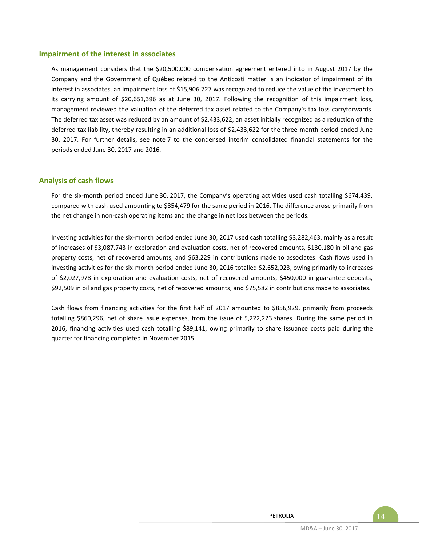## **Impairment of the interest in associates**

As management considers that the \$20,500,000 compensation agreement entered into in August 2017 by the Company and the Government of Québec related to the Anticosti matter is an indicator of impairment of its interest in associates, an impairment loss of \$15,906,727 was recognized to reduce the value of the investment to its carrying amount of \$20,651,396 as at June 30, 2017. Following the recognition of this impairment loss, management reviewed the valuation of the deferred tax asset related to the Company's tax loss carryforwards. The deferred tax asset was reduced by an amount of \$2,433,622, an asset initially recognized as a reduction of the deferred tax liability, thereby resulting in an additional loss of \$2,433,622 for the three-month period ended June 30, 2017. For further details, see note 7 to the condensed interim consolidated financial statements for the periods ended June 30, 2017 and 2016.

## **Analysis of cash flows**

For the six-month period ended June 30, 2017, the Company's operating activities used cash totalling \$674,439, compared with cash used amounting to \$854,479 for the same period in 2016. The difference arose primarily from the net change in non-cash operating items and the change in net loss between the periods.

Investing activities for the six-month period ended June 30, 2017 used cash totalling \$3,282,463, mainly as a result of increases of \$3,087,743 in exploration and evaluation costs, net of recovered amounts, \$130,180 in oil and gas property costs, net of recovered amounts, and \$63,229 in contributions made to associates. Cash flows used in investing activities for the six-month period ended June 30, 2016 totalled \$2,652,023, owing primarily to increases of \$2,027,978 in exploration and evaluation costs, net of recovered amounts, \$450,000 in guarantee deposits, \$92,509 in oil and gas property costs, net of recovered amounts, and \$75,582 in contributions made to associates.

Cash flows from financing activities for the first half of 2017 amounted to \$856,929, primarily from proceeds totalling \$860,296, net of share issue expenses, from the issue of 5,222,223 shares. During the same period in 2016, financing activities used cash totalling \$89,141, owing primarily to share issuance costs paid during the quarter for financing completed in November 2015.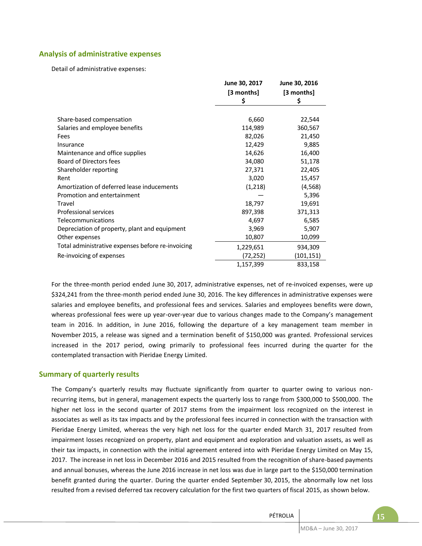## **Analysis of administrative expenses**

Detail of administrative expenses:

|                                                   | June 30, 2017 | June 30, 2016 |
|---------------------------------------------------|---------------|---------------|
|                                                   | [3 months]    | [3 months]    |
|                                                   | \$            | \$            |
|                                                   |               |               |
| Share-based compensation                          | 6,660         | 22,544        |
| Salaries and employee benefits                    | 114,989       | 360,567       |
| Fees                                              | 82,026        | 21,450        |
| Insurance                                         | 12,429        | 9,885         |
| Maintenance and office supplies                   | 14,626        | 16,400        |
| <b>Board of Directors fees</b>                    | 34,080        | 51,178        |
| Shareholder reporting                             | 27,371        | 22,405        |
| Rent                                              | 3,020         | 15,457        |
| Amortization of deferred lease inducements        | (1,218)       | (4, 568)      |
| Promotion and entertainment                       |               | 5,396         |
| Travel                                            | 18,797        | 19,691        |
| <b>Professional services</b>                      | 897,398       | 371,313       |
| Telecommunications                                | 4,697         | 6,585         |
| Depreciation of property, plant and equipment     | 3,969         | 5,907         |
| Other expenses                                    | 10,807        | 10,099        |
| Total administrative expenses before re-invoicing | 1,229,651     | 934,309       |
| Re-invoicing of expenses                          | (72,252)      | (101, 151)    |
|                                                   | 1,157,399     | 833,158       |

For the three-month period ended June 30, 2017, administrative expenses, net of re-invoiced expenses, were up \$324,241 from the three-month period ended June 30, 2016. The key differences in administrative expenses were salaries and employee benefits, and professional fees and services. Salaries and employees benefits were down, whereas professional fees were up year-over-year due to various changes made to the Company's management team in 2016. In addition, in June 2016, following the departure of a key management team member in November 2015, a release was signed and a termination benefit of \$150,000 was granted. Professional services increased in the 2017 period, owing primarily to professional fees incurred during the quarter for the contemplated transaction with Pieridae Energy Limited.

## **Summary of quarterly results**

The Company's quarterly results may fluctuate significantly from quarter to quarter owing to various nonrecurring items, but in general, management expects the quarterly loss to range from \$300,000 to \$500,000. The higher net loss in the second quarter of 2017 stems from the impairment loss recognized on the interest in associates as well as its tax impacts and by the professional fees incurred in connection with the transaction with Pieridae Energy Limited, whereas the very high net loss for the quarter ended March 31, 2017 resulted from impairment losses recognized on property, plant and equipment and exploration and valuation assets, as well as their tax impacts, in connection with the initial agreement entered into with Pieridae Energy Limited on May 15, 2017. The increase in net loss in December 2016 and 2015 resulted from the recognition of share-based payments and annual bonuses, whereas the June 2016 increase in net loss was due in large part to the \$150,000 termination benefit granted during the quarter. During the quarter ended September 30, 2015, the abnormally low net loss resulted from a revised deferred tax recovery calculation for the first two quarters of fiscal 2015, as shown below.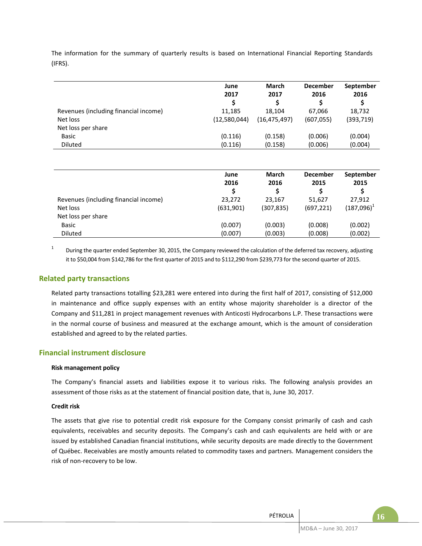The information for the summary of quarterly results is based on International Financial Reporting Standards (IFRS).

|                                       | June<br>2017 | <b>March</b><br>2017 | <b>December</b><br>2016 | September<br>2016 |
|---------------------------------------|--------------|----------------------|-------------------------|-------------------|
| Revenues (including financial income) | 11,185       | 18.104               | 67.066                  | 18,732            |
| Net loss                              | (12,580,044) | (16, 475, 497)       | (607, 055)              | (393, 719)        |
| Net loss per share                    |              |                      |                         |                   |
| Basic                                 | (0.116)      | (0.158)              | (0.006)                 | (0.004)           |
| Diluted                               | (0.116)      | (0.158)              | (0.006)                 | (0.004)           |

|                                       | June<br>2016 | March<br>2016 | <b>December</b><br>2015 | September<br>2015 |
|---------------------------------------|--------------|---------------|-------------------------|-------------------|
| Revenues (including financial income) | 23,272       | 23,167        | 51,627                  | 27,912            |
| Net loss                              | (631,901)    | (307,835)     | (697, 221)              | $(187,096)^T$     |
| Net loss per share                    |              |               |                         |                   |
| Basic                                 | (0.007)      | (0.003)       | (0.008)                 | (0.002)           |
| Diluted                               | (0.007)      | (0.003)       | (0.008)                 | (0.002)           |

1 During the quarter ended September 30, 2015, the Company reviewed the calculation of the deferred tax recovery, adjusting it to \$50,004 from \$142,786 for the first quarter of 2015 and to \$112,290 from \$239,773 for the second quarter of 2015.

## **Related party transactions**

Related party transactions totalling \$23,281 were entered into during the first half of 2017, consisting of \$12,000 in maintenance and office supply expenses with an entity whose majority shareholder is a director of the Company and \$11,281 in project management revenues with Anticosti Hydrocarbons L.P. These transactions were in the normal course of business and measured at the exchange amount, which is the amount of consideration established and agreed to by the related parties.

## **Financial instrument disclosure**

#### **Risk management policy**

The Company's financial assets and liabilities expose it to various risks. The following analysis provides an assessment of those risks as at the statement of financial position date, that is, June 30, 2017.

#### **Credit risk**

The assets that give rise to potential credit risk exposure for the Company consist primarily of cash and cash equivalents, receivables and security deposits. The Company's cash and cash equivalents are held with or are issued by established Canadian financial institutions, while security deposits are made directly to the Government of Québec. Receivables are mostly amounts related to commodity taxes and partners. Management considers the risk of non-recovery to be low.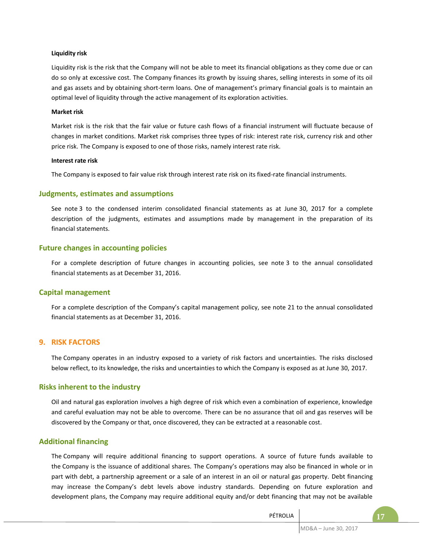#### **Liquidity risk**

Liquidity risk is the risk that the Company will not be able to meet its financial obligations as they come due or can do so only at excessive cost. The Company finances its growth by issuing shares, selling interests in some of its oil and gas assets and by obtaining short-term loans. One of management's primary financial goals is to maintain an optimal level of liquidity through the active management of its exploration activities.

#### **Market risk**

Market risk is the risk that the fair value or future cash flows of a financial instrument will fluctuate because of changes in market conditions. Market risk comprises three types of risk: interest rate risk, currency risk and other price risk. The Company is exposed to one of those risks, namely interest rate risk.

#### **Interest rate risk**

The Company is exposed to fair value risk through interest rate risk on its fixed-rate financial instruments.

## **Judgments, estimates and assumptions**

See note 3 to the condensed interim consolidated financial statements as at June 30, 2017 for a complete description of the judgments, estimates and assumptions made by management in the preparation of its financial statements.

## **Future changes in accounting policies**

For a complete description of future changes in accounting policies, see note 3 to the annual consolidated financial statements as at December 31, 2016.

## **Capital management**

For a complete description of the Company's capital management policy, see note 21 to the annual consolidated financial statements as at December 31, 2016.

## **9. RISK FACTORS**

The Company operates in an industry exposed to a variety of risk factors and uncertainties. The risks disclosed below reflect, to its knowledge, the risks and uncertainties to which the Company is exposed as at June 30, 2017.

## **Risks inherent to the industry**

Oil and natural gas exploration involves a high degree of risk which even a combination of experience, knowledge and careful evaluation may not be able to overcome. There can be no assurance that oil and gas reserves will be discovered by the Company or that, once discovered, they can be extracted at a reasonable cost.

## **Additional financing**

The Company will require additional financing to support operations. A source of future funds available to the Company is the issuance of additional shares. The Company's operations may also be financed in whole or in part with debt, a partnership agreement or a sale of an interest in an oil or natural gas property. Debt financing may increase the Company's debt levels above industry standards. Depending on future exploration and development plans, the Company may require additional equity and/or debt financing that may not be available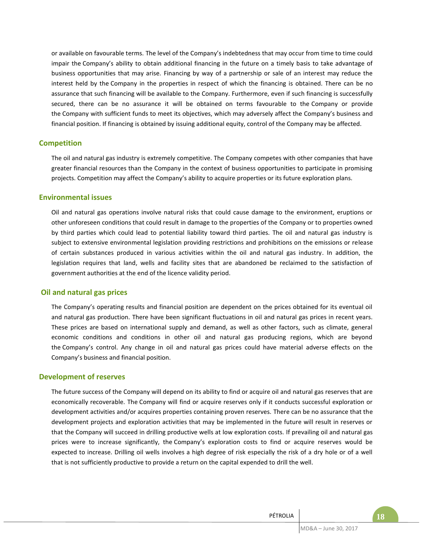or available on favourable terms. The level of the Company's indebtedness that may occur from time to time could impair the Company's ability to obtain additional financing in the future on a timely basis to take advantage of business opportunities that may arise. Financing by way of a partnership or sale of an interest may reduce the interest held by the Company in the properties in respect of which the financing is obtained. There can be no assurance that such financing will be available to the Company. Furthermore, even if such financing is successfully secured, there can be no assurance it will be obtained on terms favourable to the Company or provide the Company with sufficient funds to meet its objectives, which may adversely affect the Company's business and financial position. If financing is obtained by issuing additional equity, control of the Company may be affected.

## **Competition**

The oil and natural gas industry is extremely competitive. The Company competes with other companies that have greater financial resources than the Company in the context of business opportunities to participate in promising projects. Competition may affect the Company's ability to acquire properties or its future exploration plans.

#### **Environmental issues**

Oil and natural gas operations involve natural risks that could cause damage to the environment, eruptions or other unforeseen conditions that could result in damage to the properties of the Company or to properties owned by third parties which could lead to potential liability toward third parties. The oil and natural gas industry is subject to extensive environmental legislation providing restrictions and prohibitions on the emissions or release of certain substances produced in various activities within the oil and natural gas industry. In addition, the legislation requires that land, wells and facility sites that are abandoned be reclaimed to the satisfaction of government authorities at the end of the licence validity period.

## **Oil and natural gas prices**

The Company's operating results and financial position are dependent on the prices obtained for its eventual oil and natural gas production. There have been significant fluctuations in oil and natural gas prices in recent years. These prices are based on international supply and demand, as well as other factors, such as climate, general economic conditions and conditions in other oil and natural gas producing regions, which are beyond the Company's control. Any change in oil and natural gas prices could have material adverse effects on the Company's business and financial position.

#### **Development of reserves**

The future success of the Company will depend on its ability to find or acquire oil and natural gas reserves that are economically recoverable. The Company will find or acquire reserves only if it conducts successful exploration or development activities and/or acquires properties containing proven reserves. There can be no assurance that the development projects and exploration activities that may be implemented in the future will result in reserves or that the Company will succeed in drilling productive wells at low exploration costs. If prevailing oil and natural gas prices were to increase significantly, the Company's exploration costs to find or acquire reserves would be expected to increase. Drilling oil wells involves a high degree of risk especially the risk of a dry hole or of a well that is not sufficiently productive to provide a return on the capital expended to drill the well.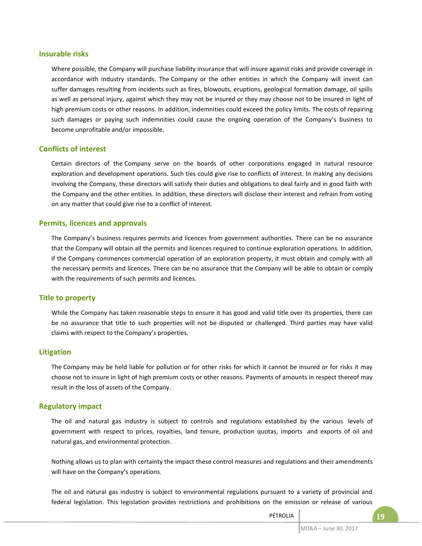## **Insurable risks**

Where possible, the Company will purchase liability insurance that will insure against risks and provide coverage in accordance with industry standards. The Company or the other entities in which the Company will invest can suffer damages resulting from incidents such as fires, blowouts, eruptions, geological formation damage, oil spills as well as personal injury, against which they may not be insured or they may choose not to be insured in light of high premium costs or other reasons. In addition, indemnities could exceed the policy limits. The costs of repairing such damages or paying such indemnities could cause the ongoing operation of the Company's business to become unprofitable and/or impossible.

## **Conflicts of interest**

Certain directors of the Company serve on the boards of other corporations engaged in natural resource exploration and development operations. Such ties could give rise to conflicts of interest. In making any decisions involving the Company, these directors will satisfy their duties and obligations to deal fairly and in good faith with the Company and the other entities. In addition, these directors will disclose their interest and refrain from voting on any matter that could give rise to a conflict of interest.

## **Permits, licences and approvals**

The Company's business requires permits and licences from government authorities. There can be no assurance that the Company will obtain all the permits and licences required to continue exploration operations. In addition, if the Company commences commercial operation of an exploration property, it must obtain and comply with all the necessary permits and licences. There can be no assurance that the Company will be able to obtain or comply with the requirements of such permits and licences.

## **Title to property**

While the Company has taken reasonable steps to ensure it has good and valid title over its properties, there can be no assurance that title to such properties will not be disputed or challenged. Third parties may have valid claims with respect to the Company's properties.

## **Litigation**

The Company may be held liable for pollution or for other risks for which it cannot be insured or for risks it may choose not to insure in light of high premium costs or other reasons. Payments of amounts in respect thereof may result in the loss of assets of the Company.

## **Regulatory impact**

The oil and natural gas industry is subject to controls and regulations established by the various levels of government with respect to prices, royalties, land tenure, production quotas, imports and exports of oil and natural gas, and environmental protection.

Nothing allows us to plan with certainty the impact these control measures and regulations and their amendments will have on the Company's operations.

The oil and natural gas industry is subject to environmental regulations pursuant to a variety of provincial and federal legislation. This legislation provides restrictions and prohibitions on the emission or release of various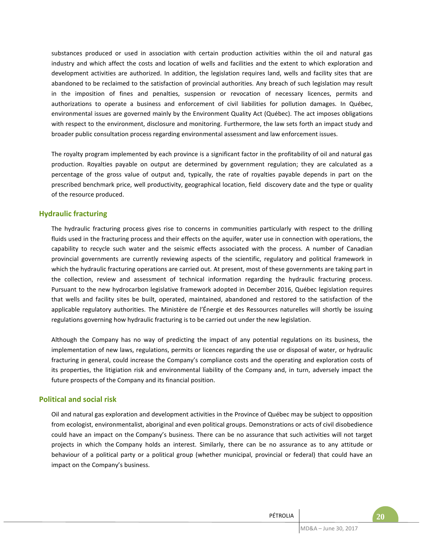substances produced or used in association with certain production activities within the oil and natural gas industry and which affect the costs and location of wells and facilities and the extent to which exploration and development activities are authorized. In addition, the legislation requires land, wells and facility sites that are abandoned to be reclaimed to the satisfaction of provincial authorities. Any breach of such legislation may result in the imposition of fines and penalties, suspension or revocation of necessary licences, permits and authorizations to operate a business and enforcement of civil liabilities for pollution damages. In Québec, environmental issues are governed mainly by the Environment Quality Act (Québec). The act imposes obligations with respect to the environment, disclosure and monitoring. Furthermore, the law sets forth an impact study and broader public consultation process regarding environmental assessment and law enforcement issues.

The royalty program implemented by each province is a significant factor in the profitability of oil and natural gas production. Royalties payable on output are determined by government regulation; they are calculated as a percentage of the gross value of output and, typically, the rate of royalties payable depends in part on the prescribed benchmark price, well productivity, geographical location, field discovery date and the type or quality of the resource produced.

## **Hydraulic fracturing**

The hydraulic fracturing process gives rise to concerns in communities particularly with respect to the drilling fluids used in the fracturing process and their effects on the aquifer, water use in connection with operations, the capability to recycle such water and the seismic effects associated with the process. A number of Canadian provincial governments are currently reviewing aspects of the scientific, regulatory and political framework in which the hydraulic fracturing operations are carried out. At present, most of these governments are taking part in the collection, review and assessment of technical information regarding the hydraulic fracturing process. Pursuant to the new hydrocarbon legislative framework adopted in December 2016, Québec legislation requires that wells and facility sites be built, operated, maintained, abandoned and restored to the satisfaction of the applicable regulatory authorities. The Ministère de l'Énergie et des Ressources naturelles will shortly be issuing regulations governing how hydraulic fracturing is to be carried out under the new legislation.

Although the Company has no way of predicting the impact of any potential regulations on its business, the implementation of new laws, regulations, permits or licences regarding the use or disposal of water, or hydraulic fracturing in general, could increase the Company's compliance costs and the operating and exploration costs of its properties, the litigiation risk and environmental liability of the Company and, in turn, adversely impact the future prospects of the Company and its financial position.

## **Political and social risk**

Oil and natural gas exploration and development activities in the Province of Québec may be subject to opposition from ecologist, environmentalist, aboriginal and even political groups. Demonstrations or acts of civil disobedience could have an impact on the Company's business. There can be no assurance that such activities will not target projects in which the Company holds an interest. Similarly, there can be no assurance as to any attitude or behaviour of a political party or a political group (whether municipal, provincial or federal) that could have an impact on the Company's business.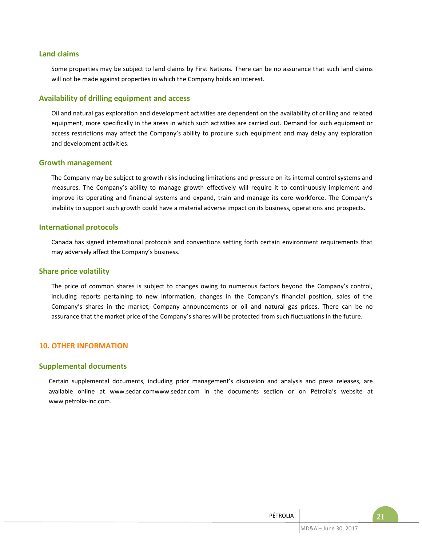## **Land claims**

Some properties may be subject to land claims by First Nations. There can be no assurance that such land claims will not be made against properties in which the Company holds an interest.

#### **Availability of drilling equipment and access**

Oil and natural gas exploration and development activities are dependent on the availability of drilling and related equipment, more specifically in the areas in which such activities are carried out. Demand for such equipment or access restrictions may affect the Company's ability to procure such equipment and may delay any exploration and development activities.

#### **Growth management**

The Company may be subject to growth risks including limitations and pressure on its internal control systems and measures. The Company's ability to manage growth effectively will require it to continuously implement and improve its operating and financial systems and expand, train and manage its core workforce. The Company's inability to support such growth could have a material adverse impact on its business, operations and prospects.

#### **International protocols**

Canada has signed international protocols and conventions setting forth certain environment requirements that may adversely affect the Company's business.

#### **Share price volatility**

The price of common shares is subject to changes owing to numerous factors beyond the Company's control, including reports pertaining to new information, changes in the Company's financial position, sales of the Company's shares in the market, Company announcements or oil and natural gas prices. There can be no assurance that the market price of the Company's shares will be protected from such fluctuations in the future.

#### **10. OTHER INFORMATION**

## **Supplemental documents**

Certain supplemental documents, including prior management's discussion and analysis and press releases, are available online at www.sedar.comwww.sedar.com in the documents section or on Pétrolia's website at www.petrolia-inc.com.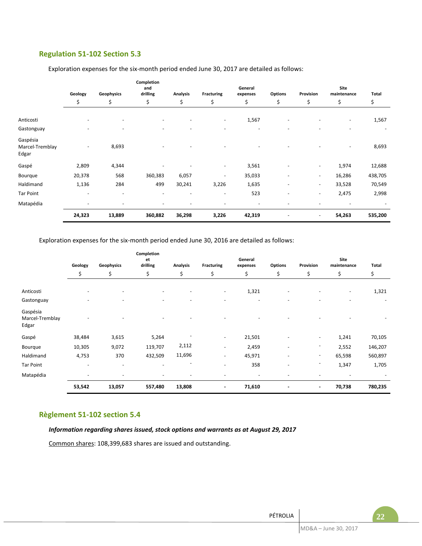## **Regulation 51-102 Section 5.3**

|                                      | Geology | Geophysics | Completion<br>and<br>drilling<br><b>Analysis</b><br>Fracturing |                          |                          | General<br><b>Options</b><br>expenses |                          | Provision                | Site<br>maintenance      | Total   |
|--------------------------------------|---------|------------|----------------------------------------------------------------|--------------------------|--------------------------|---------------------------------------|--------------------------|--------------------------|--------------------------|---------|
|                                      | \$      | \$         | \$                                                             | \$                       | \$                       | \$                                    | \$                       | \$                       | \$                       | \$      |
| Anticosti                            |         |            |                                                                |                          | $\overline{\phantom{a}}$ | 1,567                                 |                          |                          | $\overline{\phantom{a}}$ | 1,567   |
| Gastonguay                           |         |            |                                                                |                          |                          |                                       |                          |                          |                          |         |
| Gaspésia<br>Marcel-Tremblay<br>Edgar |         | 8,693      |                                                                |                          |                          |                                       |                          |                          | $\overline{\phantom{a}}$ | 8,693   |
| Gaspé                                | 2,809   | 4,344      |                                                                |                          | $\overline{\phantom{a}}$ | 3,561                                 | ٠                        | $\overline{\phantom{a}}$ | 1,974                    | 12,688  |
| Bourque                              | 20,378  | 568        | 360,383                                                        | 6,057                    | $\overline{\phantom{a}}$ | 35,033                                | $\overline{\phantom{a}}$ | $\overline{\phantom{a}}$ | 16,286                   | 438,705 |
| Haldimand                            | 1,136   | 284        | 499                                                            | 30,241                   | 3,226                    | 1,635                                 | $\overline{\phantom{a}}$ | $\overline{\phantom{a}}$ | 33,528                   | 70,549  |
| <b>Tar Point</b>                     | -       |            |                                                                |                          | ٠                        | 523                                   | $\overline{\phantom{a}}$ | $\overline{\phantom{a}}$ | 2,475                    | 2,998   |
| Matapédia                            | ٠       | ٠          |                                                                | $\overline{\phantom{a}}$ | $\overline{a}$           |                                       | ٠                        |                          |                          |         |
|                                      | 24,323  | 13,889     | 360,882                                                        | 36,298                   | 3,226                    | 42,319                                |                          | $\overline{\phantom{a}}$ | 54,263                   | 535,200 |

Exploration expenses for the six-month period ended June 30, 2017 are detailed as follows:

Exploration expenses for the six-month period ended June 30, 2016 are detailed as follows:

|                                      | Geology | Geophysics               | Completion<br>et<br>drilling | <b>Analysis</b>          | <b>Fracturing</b>                                    | General<br>expenses | <b>Options</b>           | Provision                | Site<br>maintenance      | Total   |
|--------------------------------------|---------|--------------------------|------------------------------|--------------------------|------------------------------------------------------|---------------------|--------------------------|--------------------------|--------------------------|---------|
|                                      | \$      | \$                       | \$                           | \$                       | \$                                                   | \$                  | \$                       | \$                       | \$                       | \$      |
| Anticosti<br>Gastonguay              |         |                          | $\overline{a}$               | ٠                        | $\overline{\phantom{a}}$<br>$\overline{\phantom{0}}$ | 1,321               |                          |                          | $\overline{\phantom{a}}$ | 1,321   |
| Gaspésia<br>Marcel-Tremblay<br>Edgar |         |                          |                              |                          |                                                      |                     |                          |                          |                          |         |
| Gaspé                                | 38,484  | 3,615                    | 5,264                        |                          | $\overline{\phantom{a}}$                             | 21,501              |                          | $\overline{\phantom{a}}$ | 1,241                    | 70,105  |
| Bourque                              | 10,305  | 9,072                    | 119,707                      | 2,112                    | $\overline{\phantom{a}}$                             | 2,459               |                          | $\overline{\phantom{a}}$ | 2,552                    | 146,207 |
| Haldimand                            | 4,753   | 370                      | 432,509                      | 11,696                   | $\blacksquare$                                       | 45,971              | $\overline{\phantom{0}}$ | $\overline{\phantom{a}}$ | 65,598                   | 560,897 |
| <b>Tar Point</b>                     | ٠       | $\overline{\phantom{0}}$ | $\overline{\phantom{0}}$     | $\overline{\phantom{a}}$ | $\sim$                                               | 358                 | $\overline{\phantom{0}}$ |                          | 1,347                    | 1,705   |
| Matapédia                            |         |                          |                              | $\overline{\phantom{a}}$ | ٠                                                    |                     |                          |                          |                          |         |
|                                      | 53,542  | 13,057                   | 557,480                      | 13,808                   | $\blacksquare$                                       | 71,610              |                          | $\blacksquare$           | 70,738                   | 780,235 |

## **Règlement 51-102 section 5.4**

*Information regarding shares issued, stock options and warrants as at August 29, 2017*

Common shares: 108,399,683 shares are issued and outstanding.